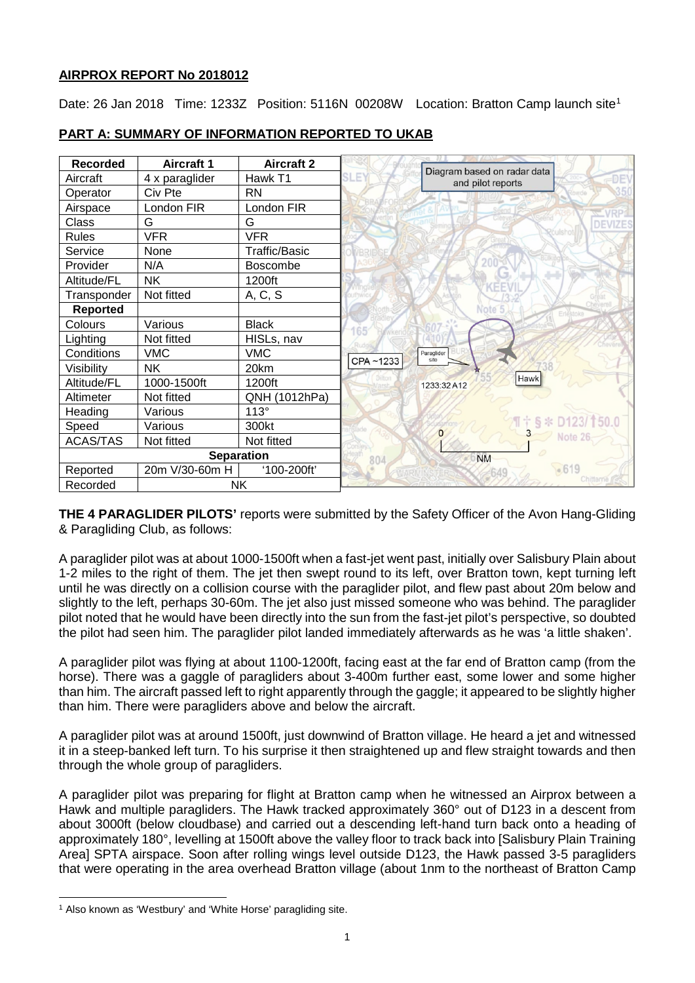## **AIRPROX REPORT No 2018012**

Date: 26 Jan 20[1](#page-0-0)8 Time: 1233Z Position: 5116N 00208W Location: Bratton Camp launch site<sup>1</sup>

| <b>Recorded</b>   | <b>Aircraft 1</b> | <b>Aircraft 2</b> |                 | Diagram based on radar data       |
|-------------------|-------------------|-------------------|-----------------|-----------------------------------|
| Aircraft          | 4 x paraglider    | Hawk T1           | LE <sup>®</sup> | <b>DE</b><br>and pilot reports    |
| Operator          | Civ Pte           | <b>RN</b>         |                 |                                   |
| Airspace          | London FIR        | London FIR        |                 |                                   |
| Class             | G                 | G                 |                 | <b>DEVIZES</b>                    |
| <b>Rules</b>      | <b>VFR</b>        | <b>VFR</b>        |                 |                                   |
| Service           | None              | Traffic/Basic     |                 |                                   |
| Provider          | N/A               | <b>Boscombe</b>   |                 |                                   |
| Altitude/FL       | <b>NK</b>         | 1200ft            |                 |                                   |
| Transponder       | Not fitted        | A, C, S           |                 |                                   |
| <b>Reported</b>   |                   |                   |                 | Note 5<br>Erlestoke               |
| Colours           | Various           | <b>Black</b>      |                 |                                   |
| Lighting          | Not fitted        | HISLs, nav        |                 |                                   |
| Conditions        | <b>VMC</b>        | <b>VMC</b>        | CPA~1233        | Paraglider<br>site                |
| Visibility        | <b>NK</b>         | 20km              |                 |                                   |
| Altitude/FL       | 1000-1500ft       | 1200ft            |                 | Hawk<br>1233:32 A12               |
| Altimeter         | Not fitted        | QNH (1012hPa)     |                 |                                   |
| Heading           | Various           | $113^\circ$       |                 |                                   |
| Speed             | Various           | 300kt             |                 | $\P$ † § * D123/150.0<br>$\Omega$ |
| <b>ACAS/TAS</b>   | Not fitted        | Not fitted        |                 | $\rightarrow$<br>Note 26          |
| <b>Separation</b> |                   |                   | 804             | <b>NM</b>                         |
| Reported          | 20m V/30-60m H    | '100-200ft'       |                 | •619                              |
| Recorded          | <b>NK</b>         |                   |                 | Chitterne                         |

# **PART A: SUMMARY OF INFORMATION REPORTED TO UKAB**

**THE 4 PARAGLIDER PILOTS'** reports were submitted by the Safety Officer of the Avon Hang-Gliding & Paragliding Club, as follows:

A paraglider pilot was at about 1000-1500ft when a fast-jet went past, initially over Salisbury Plain about 1-2 miles to the right of them. The jet then swept round to its left, over Bratton town, kept turning left until he was directly on a collision course with the paraglider pilot, and flew past about 20m below and slightly to the left, perhaps 30-60m. The jet also just missed someone who was behind. The paraglider pilot noted that he would have been directly into the sun from the fast-jet pilot's perspective, so doubted the pilot had seen him. The paraglider pilot landed immediately afterwards as he was 'a little shaken'.

A paraglider pilot was flying at about 1100-1200ft, facing east at the far end of Bratton camp (from the horse). There was a gaggle of paragliders about 3-400m further east, some lower and some higher than him. The aircraft passed left to right apparently through the gaggle; it appeared to be slightly higher than him. There were paragliders above and below the aircraft.

A paraglider pilot was at around 1500ft, just downwind of Bratton village. He heard a jet and witnessed it in a steep-banked left turn. To his surprise it then straightened up and flew straight towards and then through the whole group of paragliders.

A paraglider pilot was preparing for flight at Bratton camp when he witnessed an Airprox between a Hawk and multiple paragliders. The Hawk tracked approximately 360° out of D123 in a descent from about 3000ft (below cloudbase) and carried out a descending left-hand turn back onto a heading of approximately 180°, levelling at 1500ft above the valley floor to track back into [Salisbury Plain Training Area] SPTA airspace. Soon after rolling wings level outside D123, the Hawk passed 3-5 paragliders that were operating in the area overhead Bratton village (about 1nm to the northeast of Bratton Camp

 $\overline{\phantom{a}}$ 

<span id="page-0-0"></span><sup>&</sup>lt;sup>1</sup> Also known as 'Westbury' and 'White Horse' paragliding site.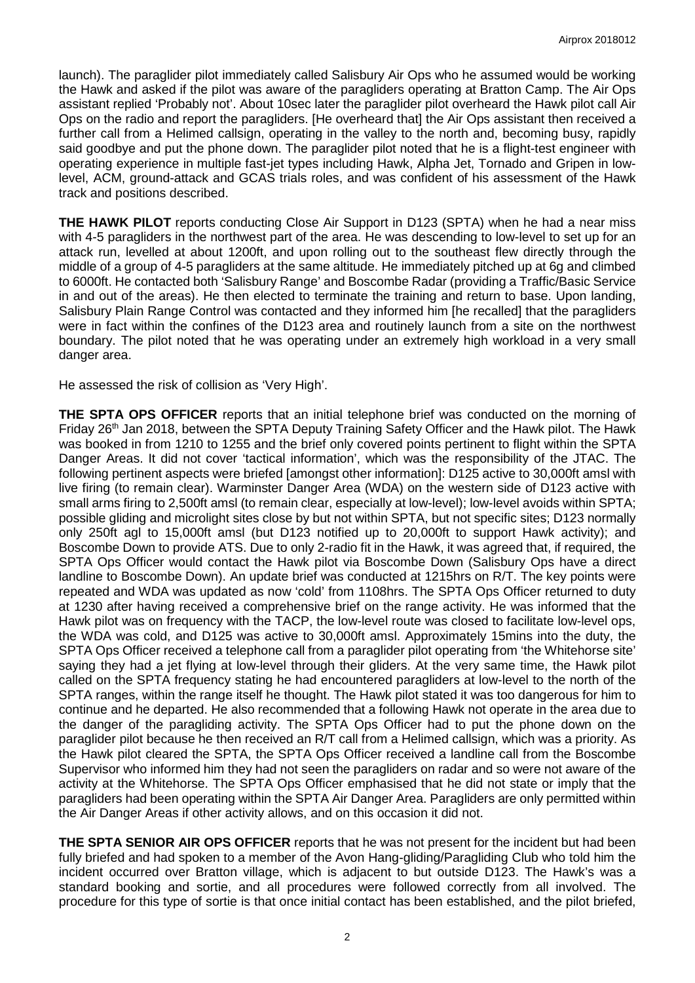launch). The paraglider pilot immediately called Salisbury Air Ops who he assumed would be working the Hawk and asked if the pilot was aware of the paragliders operating at Bratton Camp. The Air Ops assistant replied 'Probably not'. About 10sec later the paraglider pilot overheard the Hawk pilot call Air Ops on the radio and report the paragliders. [He overheard that] the Air Ops assistant then received a further call from a Helimed callsign, operating in the valley to the north and, becoming busy, rapidly said goodbye and put the phone down. The paraglider pilot noted that he is a flight-test engineer with operating experience in multiple fast-jet types including Hawk, Alpha Jet, Tornado and Gripen in lowlevel, ACM, ground-attack and GCAS trials roles, and was confident of his assessment of the Hawk track and positions described.

**THE HAWK PILOT** reports conducting Close Air Support in D123 (SPTA) when he had a near miss with 4-5 paragliders in the northwest part of the area. He was descending to low-level to set up for an attack run, levelled at about 1200ft, and upon rolling out to the southeast flew directly through the middle of a group of 4-5 paragliders at the same altitude. He immediately pitched up at 6g and climbed to 6000ft. He contacted both 'Salisbury Range' and Boscombe Radar (providing a Traffic/Basic Service in and out of the areas). He then elected to terminate the training and return to base. Upon landing, Salisbury Plain Range Control was contacted and they informed him [he recalled] that the paragliders were in fact within the confines of the D123 area and routinely launch from a site on the northwest boundary. The pilot noted that he was operating under an extremely high workload in a very small danger area.

He assessed the risk of collision as 'Very High'.

**THE SPTA OPS OFFICER** reports that an initial telephone brief was conducted on the morning of Friday 26<sup>th</sup> Jan 2018, between the SPTA Deputy Training Safety Officer and the Hawk pilot. The Hawk was booked in from 1210 to 1255 and the brief only covered points pertinent to flight within the SPTA Danger Areas. It did not cover 'tactical information', which was the responsibility of the JTAC. The following pertinent aspects were briefed [amongst other information]: D125 active to 30,000ft amsl with live firing (to remain clear). Warminster Danger Area (WDA) on the western side of D123 active with small arms firing to 2,500ft amsl (to remain clear, especially at low-level); low-level avoids within SPTA; possible gliding and microlight sites close by but not within SPTA, but not specific sites; D123 normally only 250ft agl to 15,000ft amsl (but D123 notified up to 20,000ft to support Hawk activity); and Boscombe Down to provide ATS. Due to only 2-radio fit in the Hawk, it was agreed that, if required, the SPTA Ops Officer would contact the Hawk pilot via Boscombe Down (Salisbury Ops have a direct landline to Boscombe Down). An update brief was conducted at 1215hrs on R/T. The key points were repeated and WDA was updated as now 'cold' from 1108hrs. The SPTA Ops Officer returned to duty at 1230 after having received a comprehensive brief on the range activity. He was informed that the Hawk pilot was on frequency with the TACP, the low-level route was closed to facilitate low-level ops, the WDA was cold, and D125 was active to 30,000ft amsl. Approximately 15mins into the duty, the SPTA Ops Officer received a telephone call from a paraglider pilot operating from 'the Whitehorse site' saying they had a jet flying at low-level through their gliders. At the very same time, the Hawk pilot called on the SPTA frequency stating he had encountered paragliders at low-level to the north of the SPTA ranges, within the range itself he thought. The Hawk pilot stated it was too dangerous for him to continue and he departed. He also recommended that a following Hawk not operate in the area due to the danger of the paragliding activity. The SPTA Ops Officer had to put the phone down on the paraglider pilot because he then received an R/T call from a Helimed callsign, which was a priority. As the Hawk pilot cleared the SPTA, the SPTA Ops Officer received a landline call from the Boscombe Supervisor who informed him they had not seen the paragliders on radar and so were not aware of the activity at the Whitehorse. The SPTA Ops Officer emphasised that he did not state or imply that the paragliders had been operating within the SPTA Air Danger Area. Paragliders are only permitted within the Air Danger Areas if other activity allows, and on this occasion it did not.

**THE SPTA SENIOR AIR OPS OFFICER** reports that he was not present for the incident but had been fully briefed and had spoken to a member of the Avon Hang-gliding/Paragliding Club who told him the incident occurred over Bratton village, which is adjacent to but outside D123. The Hawk's was a standard booking and sortie, and all procedures were followed correctly from all involved. The procedure for this type of sortie is that once initial contact has been established, and the pilot briefed,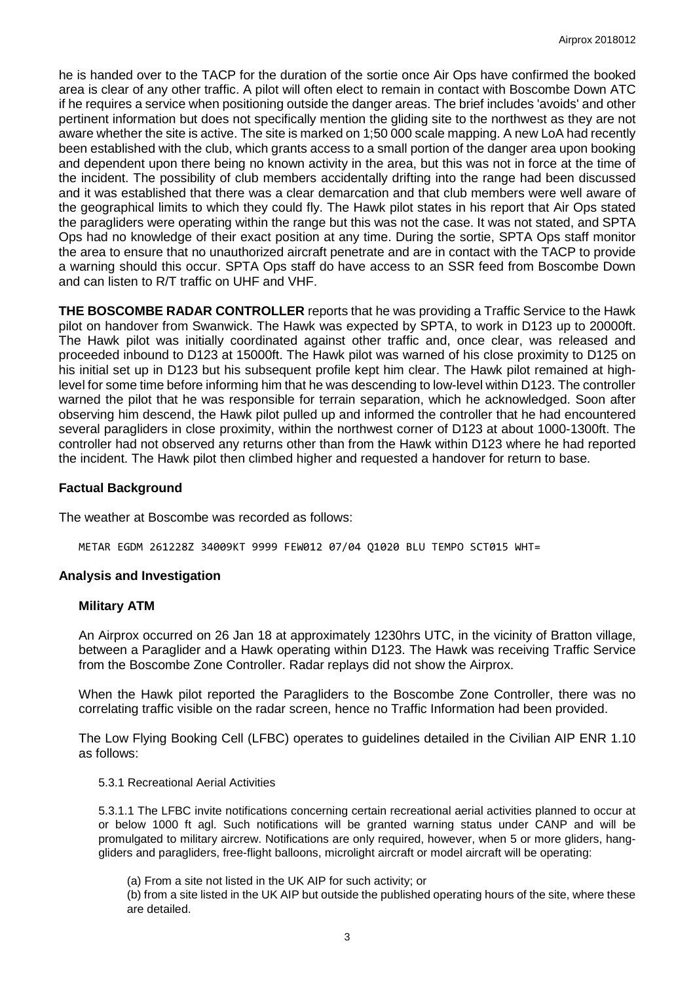he is handed over to the TACP for the duration of the sortie once Air Ops have confirmed the booked area is clear of any other traffic. A pilot will often elect to remain in contact with Boscombe Down ATC if he requires a service when positioning outside the danger areas. The brief includes 'avoids' and other pertinent information but does not specifically mention the gliding site to the northwest as they are not aware whether the site is active. The site is marked on 1;50 000 scale mapping. A new LoA had recently been established with the club, which grants access to a small portion of the danger area upon booking and dependent upon there being no known activity in the area, but this was not in force at the time of the incident. The possibility of club members accidentally drifting into the range had been discussed and it was established that there was a clear demarcation and that club members were well aware of the geographical limits to which they could fly. The Hawk pilot states in his report that Air Ops stated the paragliders were operating within the range but this was not the case. It was not stated, and SPTA Ops had no knowledge of their exact position at any time. During the sortie, SPTA Ops staff monitor the area to ensure that no unauthorized aircraft penetrate and are in contact with the TACP to provide a warning should this occur. SPTA Ops staff do have access to an SSR feed from Boscombe Down and can listen to R/T traffic on UHF and VHF.

**THE BOSCOMBE RADAR CONTROLLER** reports that he was providing a Traffic Service to the Hawk pilot on handover from Swanwick. The Hawk was expected by SPTA, to work in D123 up to 20000ft. The Hawk pilot was initially coordinated against other traffic and, once clear, was released and proceeded inbound to D123 at 15000ft. The Hawk pilot was warned of his close proximity to D125 on his initial set up in D123 but his subsequent profile kept him clear. The Hawk pilot remained at highlevel for some time before informing him that he was descending to low-level within D123. The controller warned the pilot that he was responsible for terrain separation, which he acknowledged. Soon after observing him descend, the Hawk pilot pulled up and informed the controller that he had encountered several paragliders in close proximity, within the northwest corner of D123 at about 1000-1300ft. The controller had not observed any returns other than from the Hawk within D123 where he had reported the incident. The Hawk pilot then climbed higher and requested a handover for return to base.

## **Factual Background**

The weather at Boscombe was recorded as follows:

METAR EGDM 261228Z 34009KT 9999 FEW012 07/04 Q1020 BLU TEMPO SCT015 WHT=

#### **Analysis and Investigation**

### **Military ATM**

An Airprox occurred on 26 Jan 18 at approximately 1230hrs UTC, in the vicinity of Bratton village, between a Paraglider and a Hawk operating within D123. The Hawk was receiving Traffic Service from the Boscombe Zone Controller. Radar replays did not show the Airprox.

When the Hawk pilot reported the Paragliders to the Boscombe Zone Controller, there was no correlating traffic visible on the radar screen, hence no Traffic Information had been provided.

The Low Flying Booking Cell (LFBC) operates to guidelines detailed in the Civilian AIP ENR 1.10 as follows:

#### 5.3.1 Recreational Aerial Activities

5.3.1.1 The LFBC invite notifications concerning certain recreational aerial activities planned to occur at or below 1000 ft agl. Such notifications will be granted warning status under CANP and will be promulgated to military aircrew. Notifications are only required, however, when 5 or more gliders, hanggliders and paragliders, free-flight balloons, microlight aircraft or model aircraft will be operating:

(a) From a site not listed in the UK AIP for such activity; or

(b) from a site listed in the UK AIP but outside the published operating hours of the site, where these are detailed.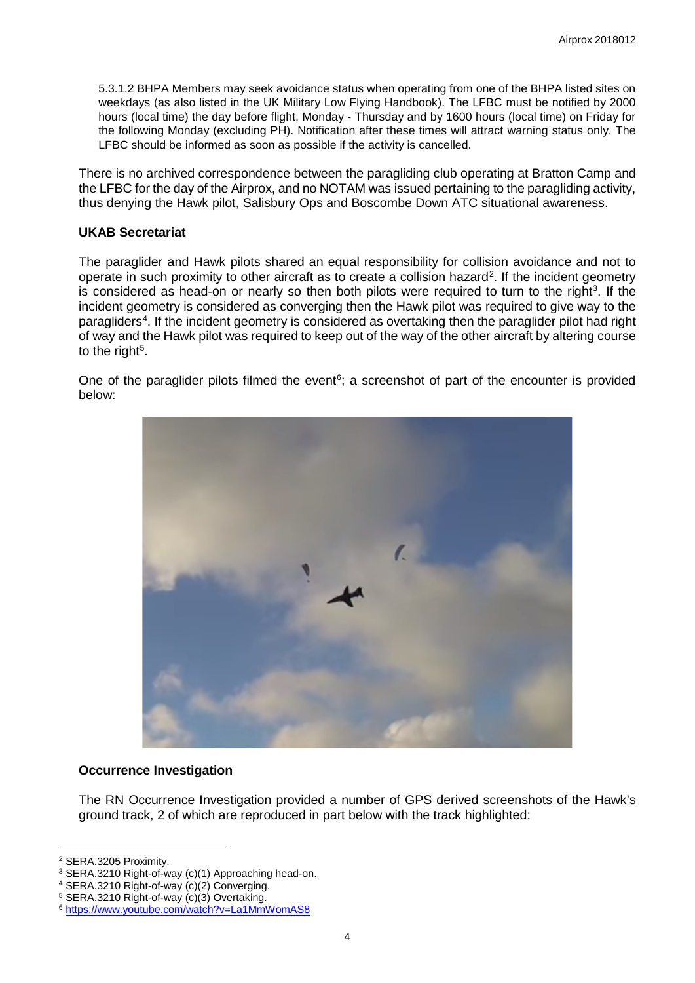5.3.1.2 BHPA Members may seek avoidance status when operating from one of the BHPA listed sites on weekdays (as also listed in the UK Military Low Flying Handbook). The LFBC must be notified by 2000 hours (local time) the day before flight, Monday - Thursday and by 1600 hours (local time) on Friday for the following Monday (excluding PH). Notification after these times will attract warning status only. The LFBC should be informed as soon as possible if the activity is cancelled.

There is no archived correspondence between the paragliding club operating at Bratton Camp and the LFBC for the day of the Airprox, and no NOTAM was issued pertaining to the paragliding activity, thus denying the Hawk pilot, Salisbury Ops and Boscombe Down ATC situational awareness.

## **UKAB Secretariat**

The paraglider and Hawk pilots shared an equal responsibility for collision avoidance and not to operate in such proximity to other aircraft as to create a collision hazard<sup>[2](#page-3-0)</sup>. If the incident geometry is considered as head-on or nearly so then both pilots were required to turn to the right<sup>[3](#page-3-1)</sup>. If the incident geometry is considered as converging then the Hawk pilot was required to give way to the paragliders<sup>[4](#page-3-2)</sup>. If the incident geometry is considered as overtaking then the paraglider pilot had right of way and the Hawk pilot was required to keep out of the way of the other aircraft by altering course to the right $^5$  $^5$ .

One of the paraglider pilots filmed the event<sup>[6](#page-3-4)</sup>; a screenshot of part of the encounter is provided below:



#### **Occurrence Investigation**

The RN Occurrence Investigation provided a number of GPS derived screenshots of the Hawk's ground track, 2 of which are reproduced in part below with the track highlighted:

 $\overline{\phantom{a}}$ 

<span id="page-3-0"></span><sup>2</sup> SERA.3205 Proximity.

<span id="page-3-1"></span><sup>&</sup>lt;sup>3</sup> SERA.3210 Right-of-way (c)(1) Approaching head-on.

<span id="page-3-2"></span><sup>4</sup> SERA.3210 Right-of-way (c)(2) Converging.

<span id="page-3-3"></span><sup>5</sup> SERA.3210 Right-of-way (c)(3) Overtaking.

<span id="page-3-4"></span><sup>6</sup> <https://www.youtube.com/watch?v=La1MmWomAS8>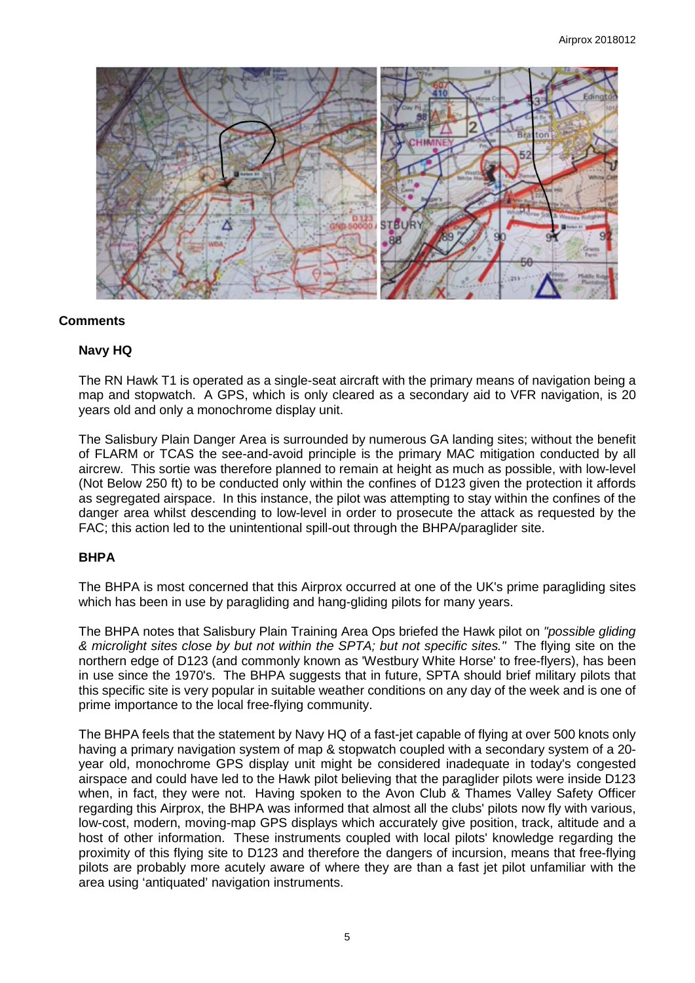

## **Comments**

## **Navy HQ**

The RN Hawk T1 is operated as a single-seat aircraft with the primary means of navigation being a map and stopwatch. A GPS, which is only cleared as a secondary aid to VFR navigation, is 20 years old and only a monochrome display unit.

The Salisbury Plain Danger Area is surrounded by numerous GA landing sites; without the benefit of FLARM or TCAS the see-and-avoid principle is the primary MAC mitigation conducted by all aircrew. This sortie was therefore planned to remain at height as much as possible, with low-level (Not Below 250 ft) to be conducted only within the confines of D123 given the protection it affords as segregated airspace. In this instance, the pilot was attempting to stay within the confines of the danger area whilst descending to low-level in order to prosecute the attack as requested by the FAC; this action led to the unintentional spill-out through the BHPA/paraglider site.

## **BHPA**

The BHPA is most concerned that this Airprox occurred at one of the UK's prime paragliding sites which has been in use by paragliding and hang-gliding pilots for many years.

The BHPA notes that Salisbury Plain Training Area Ops briefed the Hawk pilot on *"possible gliding & microlight sites close by but not within the SPTA; but not specific sites."* The flying site on the northern edge of D123 (and commonly known as 'Westbury White Horse' to free-flyers), has been in use since the 1970's. The BHPA suggests that in future, SPTA should brief military pilots that this specific site is very popular in suitable weather conditions on any day of the week and is one of prime importance to the local free-flying community.

The BHPA feels that the statement by Navy HQ of a fast-jet capable of flying at over 500 knots only having a primary navigation system of map & stopwatch coupled with a secondary system of a 20 year old, monochrome GPS display unit might be considered inadequate in today's congested airspace and could have led to the Hawk pilot believing that the paraglider pilots were inside D123 when, in fact, they were not. Having spoken to the Avon Club & Thames Valley Safety Officer regarding this Airprox, the BHPA was informed that almost all the clubs' pilots now fly with various, low-cost, modern, moving-map GPS displays which accurately give position, track, altitude and a host of other information. These instruments coupled with local pilots' knowledge regarding the proximity of this flying site to D123 and therefore the dangers of incursion, means that free-flying pilots are probably more acutely aware of where they are than a fast jet pilot unfamiliar with the area using 'antiquated' navigation instruments.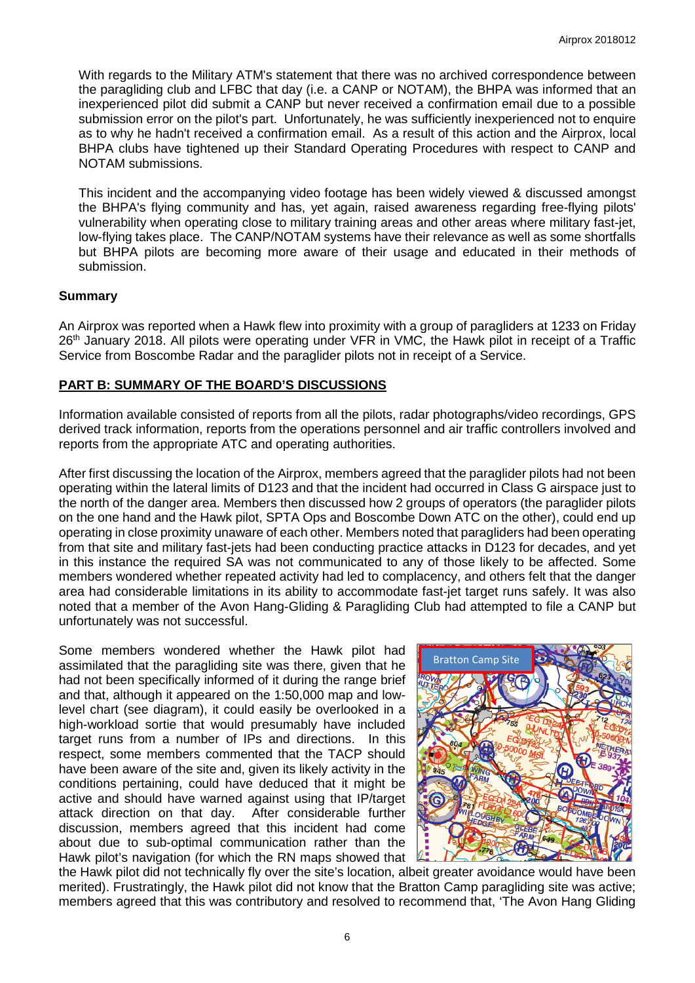With regards to the Military ATM's statement that there was no archived correspondence between the paragliding club and LFBC that day (i.e. a CANP or NOTAM), the BHPA was informed that an inexperienced pilot did submit a CANP but never received a confirmation email due to a possible submission error on the pilot's part. Unfortunately, he was sufficiently inexperienced not to enquire as to why he hadn't received a confirmation email. As a result of this action and the Airprox, local BHPA clubs have tightened up their Standard Operating Procedures with respect to CANP and NOTAM submissions.

This incident and the accompanying video footage has been widely viewed & discussed amongst the BHPA's flying community and has, yet again, raised awareness regarding free-flying pilots' vulnerability when operating close to military training areas and other areas where military fast-jet, low-flying takes place. The CANP/NOTAM systems have their relevance as well as some shortfalls but BHPA pilots are becoming more aware of their usage and educated in their methods of submission.

#### **Summary**

An Airprox was reported when a Hawk flew into proximity with a group of paragliders at 1233 on Friday 26<sup>th</sup> January 2018. All pilots were operating under VFR in VMC, the Hawk pilot in receipt of a Traffic Service from Boscombe Radar and the paraglider pilots not in receipt of a Service.

## **PART B: SUMMARY OF THE BOARD'S DISCUSSIONS**

Information available consisted of reports from all the pilots, radar photographs/video recordings, GPS derived track information, reports from the operations personnel and air traffic controllers involved and reports from the appropriate ATC and operating authorities.

After first discussing the location of the Airprox, members agreed that the paraglider pilots had not been operating within the lateral limits of D123 and that the incident had occurred in Class G airspace just to the north of the danger area. Members then discussed how 2 groups of operators (the paraglider pilots on the one hand and the Hawk pilot, SPTA Ops and Boscombe Down ATC on the other), could end up operating in close proximity unaware of each other. Members noted that paragliders had been operating from that site and military fast-jets had been conducting practice attacks in D123 for decades, and yet in this instance the required SA was not communicated to any of those likely to be affected. Some members wondered whether repeated activity had led to complacency, and others felt that the danger area had considerable limitations in its ability to accommodate fast-jet target runs safely. It was also noted that a member of the Avon Hang-Gliding & Paragliding Club had attempted to file a CANP but unfortunately was not successful.

Some members wondered whether the Hawk pilot had assimilated that the paragliding site was there, given that he had not been specifically informed of it during the range brief and that, although it appeared on the 1:50,000 map and lowlevel chart (see diagram), it could easily be overlooked in a high-workload sortie that would presumably have included target runs from a number of IPs and directions. In this respect, some members commented that the TACP should have been aware of the site and, given its likely activity in the conditions pertaining, could have deduced that it might be active and should have warned against using that IP/target attack direction on that day. After considerable further discussion, members agreed that this incident had come about due to sub-optimal communication rather than the Hawk pilot's navigation (for which the RN maps showed that



the Hawk pilot did not technically fly over the site's location, albeit greater avoidance would have been merited). Frustratingly, the Hawk pilot did not know that the Bratton Camp paragliding site was active; members agreed that this was contributory and resolved to recommend that, 'The Avon Hang Gliding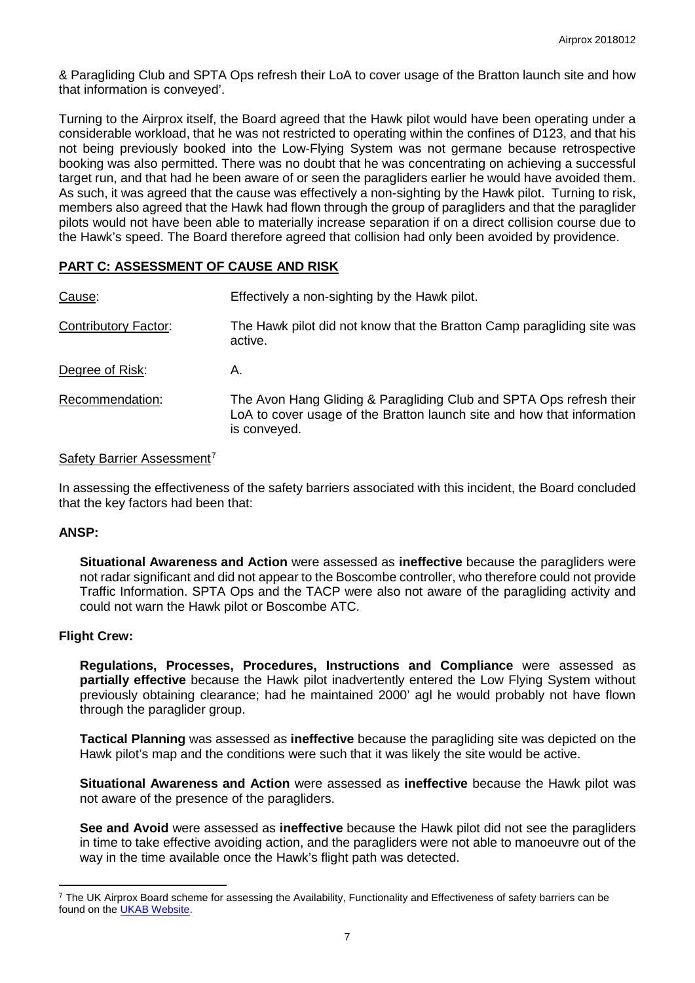& Paragliding Club and SPTA Ops refresh their LoA to cover usage of the Bratton launch site and how that information is conveyed'.

Turning to the Airprox itself, the Board agreed that the Hawk pilot would have been operating under a considerable workload, that he was not restricted to operating within the confines of D123, and that his not being previously booked into the Low-Flying System was not germane because retrospective booking was also permitted. There was no doubt that he was concentrating on achieving a successful target run, and that had he been aware of or seen the paragliders earlier he would have avoided them. As such, it was agreed that the cause was effectively a non-sighting by the Hawk pilot. Turning to risk, members also agreed that the Hawk had flown through the group of paragliders and that the paraglider pilots would not have been able to materially increase separation if on a direct collision course due to the Hawk's speed. The Board therefore agreed that collision had only been avoided by providence.

## **PART C: ASSESSMENT OF CAUSE AND RISK**

| Cause:                      | Effectively a non-sighting by the Hawk pilot.                                                                                                                 |  |  |  |
|-----------------------------|---------------------------------------------------------------------------------------------------------------------------------------------------------------|--|--|--|
| <b>Contributory Factor:</b> | The Hawk pilot did not know that the Bratton Camp paragliding site was<br>active.                                                                             |  |  |  |
| Degree of Risk:             | А.                                                                                                                                                            |  |  |  |
| Recommendation:             | The Avon Hang Gliding & Paragliding Club and SPTA Ops refresh their<br>LoA to cover usage of the Bratton launch site and how that information<br>is conveyed. |  |  |  |

## Safety Barrier Assessment<sup>[7](#page-6-0)</sup>

In assessing the effectiveness of the safety barriers associated with this incident, the Board concluded that the key factors had been that:

#### **ANSP:**

**Situational Awareness and Action** were assessed as **ineffective** because the paragliders were not radar significant and did not appear to the Boscombe controller, who therefore could not provide Traffic Information. SPTA Ops and the TACP were also not aware of the paragliding activity and could not warn the Hawk pilot or Boscombe ATC.

## **Flight Crew:**

l

**Regulations, Processes, Procedures, Instructions and Compliance** were assessed as **partially effective** because the Hawk pilot inadvertently entered the Low Flying System without previously obtaining clearance; had he maintained 2000' agl he would probably not have flown through the paraglider group.

**Tactical Planning** was assessed as **ineffective** because the paragliding site was depicted on the Hawk pilot's map and the conditions were such that it was likely the site would be active.

**Situational Awareness and Action** were assessed as **ineffective** because the Hawk pilot was not aware of the presence of the paragliders.

**See and Avoid** were assessed as **ineffective** because the Hawk pilot did not see the paragliders in time to take effective avoiding action, and the paragliders were not able to manoeuvre out of the way in the time available once the Hawk's flight path was detected.

<span id="page-6-0"></span><sup>&</sup>lt;sup>7</sup> The UK Airprox Board scheme for assessing the Availability, Functionality and Effectiveness of safety barriers can be found on the [UKAB Website.](http://www.airproxboard.org.uk/Learn-more/Airprox-Barrier-Assessment/)